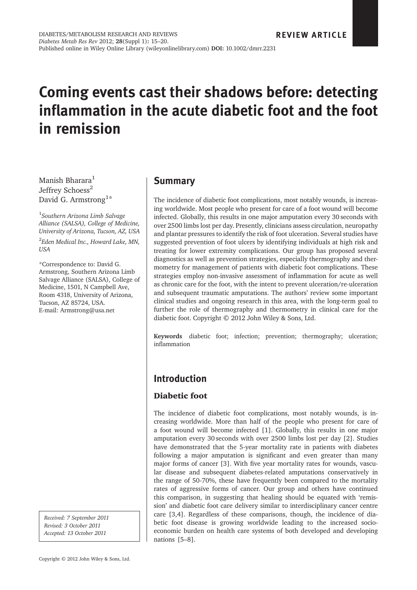# Coming events cast their shadows before: detecting inflammation in the acute diabetic foot and the foot in remission

Manish Bharara<sup>1</sup> Jeffrey Schoess<sup>2</sup> David G. Armstrong<sup>1\*</sup>

<sup>1</sup>Southern Arizona Limb Salvage Alliance (SALSA), College of Medicine, University of Arizona, Tucson, AZ, USA

<sup>2</sup>Eden Medical Inc., Howard Lake, MN, USA

\*Correspondence to: David G. Armstrong, Southern Arizona Limb Salvage Alliance (SALSA), College of Medicine, 1501, N Campbell Ave, Room 4318, University of Arizona, Tucson, AZ 85724, USA. E-mail: Armstrong@usa.net

Received: 7 September 2011 Revised: 3 October 2011 Accepted: 13 October 2011

# **Summary**

The incidence of diabetic foot complications, most notably wounds, is increasing worldwide. Most people who present for care of a foot wound will become infected. Globally, this results in one major amputation every 30 seconds with over 2500 limbs lost per day. Presently, clinicians assess circulation, neuropathy and plantar pressures to identify the risk of foot ulceration. Several studies have suggested prevention of foot ulcers by identifying individuals at high risk and treating for lower extremity complications. Our group has proposed several diagnostics as well as prevention strategies, especially thermography and thermometry for management of patients with diabetic foot complications. These strategies employ non-invasive assessment of inflammation for acute as well as chronic care for the foot, with the intent to prevent ulceration/re-ulceration and subsequent traumatic amputations. The authors' review some important clinical studies and ongoing research in this area, with the long-term goal to further the role of thermography and thermometry in clinical care for the diabetic foot. Copyright © 2012 John Wiley & Sons, Ltd.

Keywords diabetic foot; infection; prevention; thermography; ulceration; inflammation

# Introduction

# Diabetic foot

The incidence of diabetic foot complications, most notably wounds, is increasing worldwide. More than half of the people who present for care of a foot wound will become infected [1]. Globally, this results in one major amputation every 30 seconds with over 2500 limbs lost per day [2]. Studies have demonstrated that the 5-year mortality rate in patients with diabetes following a major amputation is significant and even greater than many major forms of cancer [3]. With five year mortality rates for wounds, vascular disease and subsequent diabetes-related amputations conservatively in the range of 50-70%, these have frequently been compared to the mortality rates of aggressive forms of cancer. Our group and others have continued this comparison, in suggesting that healing should be equated with 'remission' and diabetic foot care delivery similar to interdisciplinary cancer centre care [3,4]. Regardless of these comparisons, though, the incidence of diabetic foot disease is growing worldwide leading to the increased socioeconomic burden on health care systems of both developed and developing nations [5–8].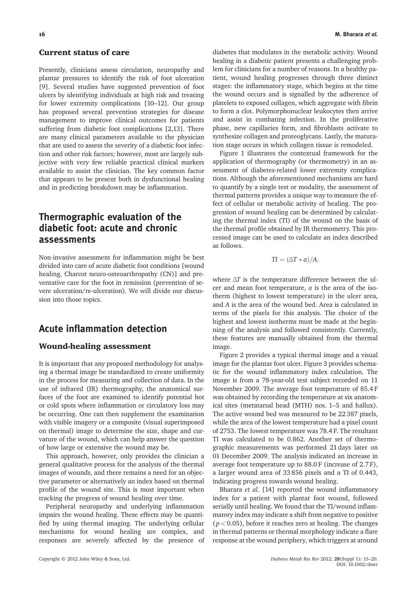#### Current status of care

Presently, clinicians assess circulation, neuropathy and plantar pressures to identify the risk of foot ulceration [9]. Several studies have suggested prevention of foot ulcers by identifying individuals at high risk and treating for lower extremity complications [10–12]. Our group has proposed several prevention strategies for disease management to improve clinical outcomes for patients suffering from diabetic foot complications [2,13]. There are many clinical parameters available to the physician that are used to assess the severity of a diabetic foot infection and other risk factors; however, most are largely subjective with very few reliable practical clinical markers available to assist the clinician. The key common factor that appears to be present both in dysfunctional healing and in predicting breakdown may be inflammation.

# Thermographic evaluation of the diabetic foot: acute and chronic assessments

Non-invasive assessment for inflammation might be best divided into care of acute diabetic foot conditions [wound healing, Charcot neuro-osteoarthropathy (CN)] and preventative care for the foot in remission (prevention of severe ulceration/re-ulceration). We will divide our discussion into those topics.

### Acute inflammation detection

#### Wound-healing assessment

It is important that any proposed methodology for analysing a thermal image be standardized to create uniformity in the process for measuring and collection of data. In the use of infrared (IR) thermography, the anatomical surfaces of the foot are examined to identify potential hot or cold spots where inflammation or circulatory loss may be occurring. One can then supplement the examination with visible imagery or a composite (visual superimposed on thermal) image to determine the size, shape and curvature of the wound, which can help answer the question of how large or extensive the wound may be.

This approach, however, only provides the clinician a general qualitative process for the analysis of the thermal images of wounds, and there remains a need for an objective parameter or alternatively an index based on thermal profile of the wound site. This is most important when tracking the progress of wound healing over time.

Peripheral neuropathy and underlying inflammation impairs the wound healing. These effects may be quantified by using thermal imaging. The underlying cellular mechanisms for wound healing are complex, and responses are severely affected by the presence of diabetes that modulates in the metabolic activity. Wound healing in a diabetic patient presents a challenging problem for clinicians for a number of reasons. In a healthy patient, wound healing progresses through three distinct stages: the inflammatory stage, which begins at the time the wound occurs and is signalled by the adherence of platelets to exposed collagen, which aggregate with fibrin to form a clot. Polymorphonuclear leukocytes then arrive and assist in combating infection. In the proliferative phase, new capillaries form, and fibroblasts activate to synthesize collagen and proteoglycans. Lastly, the maturation stage occurs in which collagen tissue is remodeled.

Figure 1 illustrates the contextual framework for the application of thermography (or thermometry) in an assessment of diabetes-related lower extremity complications. Although the aforementioned mechanisms are hard to quantify by a single test or modality, the assessment of thermal patterns provides a unique way to measure the effect of cellular or metabolic activity of healing. The progression of wound healing can be determined by calculating the thermal index (TI) of the wound on the basis of the thermal profile obtained by IR thermometry. This processed image can be used to calculate an index described as follows.

$$
TI = (\Delta T * a)/A,
$$

where  $\Delta T$  is the temperature difference between the ulcer and mean foot temperature,  $a$  is the area of the isotherm (highest to lowest temperature) in the ulcer area, and A is the area of the wound bed. Area is calculated in terms of the pixels for this analysis. The choice of the highest and lowest isotherms must be made at the beginning of the analysis and followed consistently. Currently, these features are manually obtained from the thermal image.

Figure 2 provides a typical thermal image and a visual image for the plantar foot ulcer. Figure 3 provides schematic for the wound inflammatory index calculation. The image is from a 78-year-old test subject recorded on 11 November 2009. The average foot temperature of 85.4 F was obtained by recording the temperature at six anatomical sites (metatarsal head (MTH) nos. 1–5 and hallux). The active wound bed was measured to be 22 387 pixels, while the area of the lowest temperature had a pixel count of 2753. The lowest temperature was 78.4 F. The resultant TI was calculated to be 0.862. Another set of thermographic measurements was performed 21 days later on 01 December 2009. The analysis indicated an increase in average foot temperature up to 88.0 F (increase of 2.7 F), a larger wound area of 33 856 pixels and a TI of 0.443, indicating progress towards wound healing.

Bharara et al. [14] reported the wound inflammatory index for a patient with plantar foot wound, followed serially until healing. We found that the TI/wound inflammatory index may indicate a shift from negative to positive  $(p < 0.05)$ , before it reaches zero at healing. The changes in thermal patterns or thermal morphology indicate a flare response at the wound periphery, which triggers at around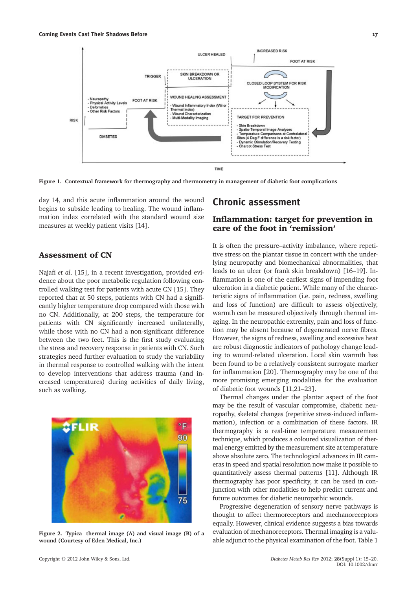

Figure 1. Contextual framework for thermography and thermometry in management of diabetic foot complications

day 14, and this acute inflammation around the wound begins to subside leading to healing. The wound inflammation index correlated with the standard wound size measures at weekly patient visits [14].

#### Assessment of CN

Najafi et al. [15], in a recent investigation, provided evidence about the poor metabolic regulation following controlled walking test for patients with acute CN [15]. They reported that at 50 steps, patients with CN had a significantly higher temperature drop compared with those with no CN. Additionally, at 200 steps, the temperature for patients with CN significantly increased unilaterally, while those with no CN had a non-significant difference between the two feet. This is the first study evaluating the stress and recovery response in patients with CN. Such strategies need further evaluation to study the variability in thermal response to controlled walking with the intent to develop interventions that address trauma (and increased temperatures) during activities of daily living, such as walking.



Figure 2. Typica thermal image (A) and visual image (B) of a wound (Courtesy of Eden Medical, Inc.)

### Chronic assessment

#### Inflammation: target for prevention in care of the foot in 'remission'

It is often the pressure–activity imbalance, where repetitive stress on the plantar tissue in concert with the underlying neuropathy and biomechanical abnormalities, that leads to an ulcer (or frank skin breakdown) [16–19]. Inflammation is one of the earliest signs of impending foot ulceration in a diabetic patient. While many of the characteristic signs of inflammation (i.e. pain, redness, swelling and loss of function) are difficult to assess objectively, warmth can be measured objectively through thermal imaging. In the neuropathic extremity, pain and loss of function may be absent because of degenerated nerve fibres. However, the signs of redness, swelling and excessive heat are robust diagnostic indicators of pathology change leading to wound-related ulceration. Local skin warmth has been found to be a relatively consistent surrogate marker for inflammation [20]. Thermography may be one of the more promising emerging modalities for the evaluation of diabetic foot wounds [11,21–23].

Thermal changes under the plantar aspect of the foot may be the result of vascular compromise, diabetic neuropathy, skeletal changes (repetitive stress-induced inflammation), infection or a combination of these factors. IR thermography is a real-time temperature measurement technique, which produces a coloured visualization of thermal energy emitted by the measurement site at temperature above absolute zero. The technological advances in IR cameras in speed and spatial resolution now make it possible to quantitatively assess thermal patterns [11]. Although IR thermography has poor specificity, it can be used in conjunction with other modalities to help predict current and future outcomes for diabetic neuropathic wounds.

Progressive degeneration of sensory nerve pathways is thought to affect thermoreceptors and mechanoreceptors equally. However, clinical evidence suggests a bias towards evaluation of mechanoreceptors. Thermal imaging is a valuable adjunct to the physical examination of the foot. Table 1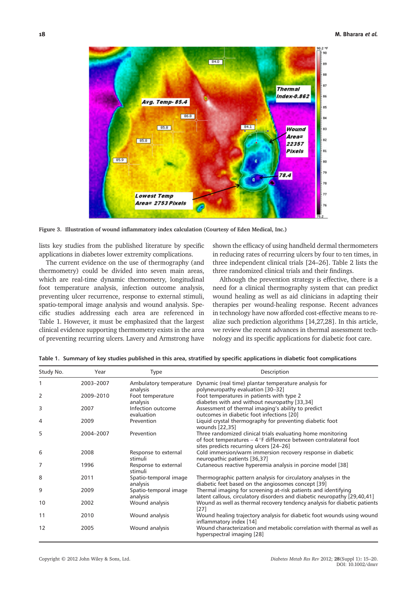

Figure 3. Illustration of wound inflammatory index calculation (Courtesy of Eden Medical, Inc.)

lists key studies from the published literature by specific applications in diabetes lower extremity complications.

The current evidence on the use of thermography (and thermometry) could be divided into seven main areas, which are real-time dynamic thermometry, longitudinal foot temperature analysis, infection outcome analysis, preventing ulcer recurrence, response to external stimuli, spatio-temporal image analysis and wound analysis. Specific studies addressing each area are referenced in Table 1. However, it must be emphasized that the largest clinical evidence supporting thermometry exists in the area of preventing recurring ulcers. Lavery and Armstrong have

shown the efficacy of using handheld dermal thermometers in reducing rates of recurring ulcers by four to ten times, in three independent clinical trials [24–26]. Table 2 lists the three randomized clinical trials and their findings.

Although the prevention strategy is effective, there is a need for a clinical thermography system that can predict wound healing as well as aid clinicians in adapting their therapies per wound-healing response. Recent advances in technology have now afforded cost-effective means to realize such prediction algorithms [14,27,28]. In this article, we review the recent advances in thermal assessment technology and its specific applications for diabetic foot care.

| Study No. | Year      | Type                               | Description                                                                                                                                                                  |
|-----------|-----------|------------------------------------|------------------------------------------------------------------------------------------------------------------------------------------------------------------------------|
| 1         | 2003-2007 | Ambulatory temperature<br>analysis | Dynamic (real time) plantar temperature analysis for<br>polyneuropathy evaluation [30-32]                                                                                    |
| 2         | 2009-2010 | Foot temperature<br>analysis       | Foot temperatures in patients with type 2<br>diabetes with and without neuropathy [33,34]                                                                                    |
| 3         | 2007      | Infection outcome<br>evaluation    | Assessment of thermal imaging's ability to predict<br>outcomes in diabetic foot infections [20]                                                                              |
| 4         | 2009      | Prevention                         | Liquid crystal thermography for preventing diabetic foot<br>wounds [22,35]                                                                                                   |
| 5         | 2004-2007 | Prevention                         | Three randomized clinical trials evaluating home monitoring<br>of foot temperatures $-4$ °F difference between contralateral foot<br>sites predicts recurring ulcers [24-26] |
| 6         | 2008      | Response to external<br>stimuli    | Cold immersion/warm immersion recovery response in diabetic<br>neuropathic patients [36,37]                                                                                  |
| 7         | 1996      | Response to external<br>stimuli    | Cutaneous reactive hyperemia analysis in porcine model [38]                                                                                                                  |
| 8         | 2011      | Spatio-temporal image<br>analysis  | Thermographic pattern analysis for circulatory analyses in the<br>diabetic feet based on the angiosomes concept [39]                                                         |
| 9         | 2009      | Spatio-temporal image<br>analysis  | Thermal imaging for screening at-risk patients and identifying<br>latent callous, circulatory disorders and diabetic neuropathy [29,40,41]                                   |
| 10        | 2002      | Wound analysis                     | Wound as well as thermal recovery tendency analysis for diabetic patients<br>$[27]$                                                                                          |
| 11        | 2010      | Wound analysis                     | Wound healing trajectory analysis for diabetic foot wounds using wound<br>inflammatory index [14]                                                                            |
| 12        | 2005      | Wound analysis                     | Wound characterization and metabolic correlation with thermal as well as<br>hyperspectral imaging [28]                                                                       |

Table 1. Summary of key studies published in this area, stratified by specific applications in diabetic foot complications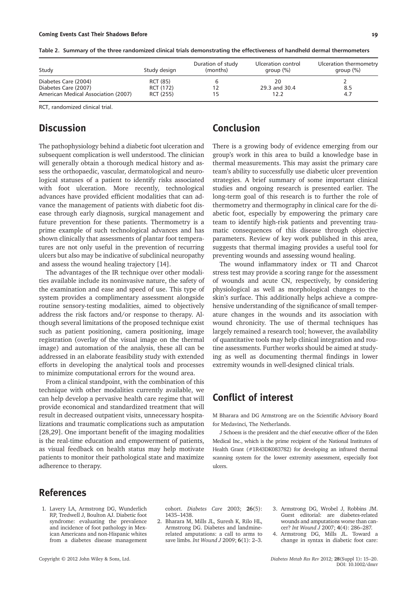|  |  |  |  |  |  | Table 2. Summary of the three randomized clinical trials demonstrating the effectiveness of handheld dermal thermometers |
|--|--|--|--|--|--|--------------------------------------------------------------------------------------------------------------------------|
|--|--|--|--|--|--|--------------------------------------------------------------------------------------------------------------------------|

| Study                               | Study design     | Duration of study<br>(months) | Ulceration control<br>group $(\%)$ | Ulceration thermometry<br>group $(\%)$ |
|-------------------------------------|------------------|-------------------------------|------------------------------------|----------------------------------------|
| Diabetes Care (2004)                | <b>RCT (85)</b>  |                               | 20                                 |                                        |
| Diabetes Care (2007)                | RCT (172)        |                               | 29.3 and 30.4                      | 8.5                                    |
| American Medical Association (2007) | <b>RCT (255)</b> |                               | 12.2                               | 4.7                                    |

RCT, randomized clinical trial.

# **Discussion**

The pathophysiology behind a diabetic foot ulceration and subsequent complication is well understood. The clinician will generally obtain a thorough medical history and assess the orthopaedic, vascular, dermatological and neurological statuses of a patient to identify risks associated with foot ulceration. More recently, technological advances have provided efficient modalities that can advance the management of patients with diabetic foot disease through early diagnosis, surgical management and future prevention for these patients. Thermometry is a prime example of such technological advances and has shown clinically that assessments of plantar foot temperatures are not only useful in the prevention of recurring ulcers but also may be indicative of subclinical neuropathy and assess the wound healing trajectory [14].

The advantages of the IR technique over other modalities available include its noninvasive nature, the safety of the examination and ease and speed of use. This type of system provides a complimentary assessment alongside routine sensory-testing modalities, aimed to objectively address the risk factors and/or response to therapy. Although several limitations of the proposed technique exist such as patient positioning, camera positioning, image registration (overlay of the visual image on the thermal image) and automation of the analysis, these all can be addressed in an elaborate feasibility study with extended efforts in developing the analytical tools and processes to minimize computational errors for the wound area.

From a clinical standpoint, with the combination of this technique with other modalities currently available, we can help develop a pervasive health care regime that will provide economical and standardized treatment that will result in decreased outpatient visits, unnecessary hospitalizations and traumatic complications such as amputation [28,29]. One important benefit of the imaging modalities is the real-time education and empowerment of patients, as visual feedback on health status may help motivate patients to monitor their pathological state and maximize adherence to therapy.

### Conclusion

There is a growing body of evidence emerging from our group's work in this area to build a knowledge base in thermal measurements. This may assist the primary care team's ability to successfully use diabetic ulcer prevention strategies. A brief summary of some important clinical studies and ongoing research is presented earlier. The long-term goal of this research is to further the role of thermometry and thermography in clinical care for the diabetic foot, especially by empowering the primary care team to identify high-risk patients and preventing traumatic consequences of this disease through objective parameters. Review of key work published in this area, suggests that thermal imaging provides a useful tool for preventing wounds and assessing wound healing.

The wound inflammatory index or TI and Charcot stress test may provide a scoring range for the assessment of wounds and acute CN, respectively, by considering physiological as well as morphological changes to the skin's surface. This additionally helps achieve a comprehensive understanding of the significance of small temperature changes in the wounds and its association with wound chronicity. The use of thermal techniques has largely remained a research tool; however, the availability of quantitative tools may help clinical integration and routine assessments. Further works should be aimed at studying as well as documenting thermal findings in lower extremity wounds in well-designed clinical trials.

# Conflict of interest

M Bharara and DG Armstrong are on the Scientific Advisory Board for Medavinci, The Netherlands.

J Schoess is the president and the chief executive officer of the Eden Medical Inc., which is the prime recipient of the National Institutes of Health Grant (#1R43DK083782) for developing an infrared thermal scanning system for the lower extremity assessment, especially foot ulcers.

# References

1. Lavery LA, Armstrong DG, Wunderlich RP, Tredwell J, Boulton AJ. Diabetic foot syndrome: evaluating the prevalence and incidence of foot pathology in Mexican Americans and non-Hispanic whites from a diabetes disease management cohort. Diabetes Care 2003; 26(5): 1435–1438.

- 2. Bharara M, Mills JL, Suresh K, Rilo HL, Armstrong DG. Diabetes and landminerelated amputations: a call to arms to save limbs. *Int Wound J* 2009; **6**(1): 2-3.
- 3. Armstrong DG, Wrobel J, Robbins JM. Guest editorial: are diabetes-related wounds and amputations worse than cancer? Int Wound  $\hat{J}$  2007; 4(4): 286-287.
- 4. Armstrong DG, Mills JL. Toward a change in syntax in diabetic foot care: